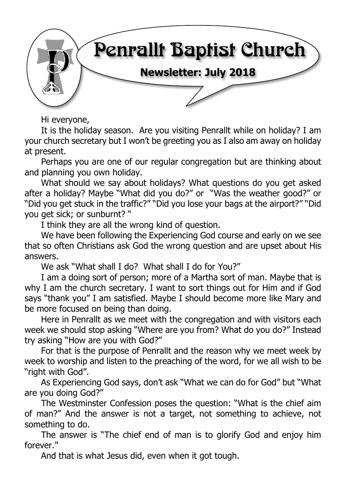

Hi everyone,

It is the holiday season. Are you visiting Penrallt while on holiday? I am your church secretary but I won't be greeting you as I also am away on holiday at present.

Perhaps you are one of our regular congregation but are thinking about and planning you own holiday.

What should we say about holidays? What questions do you get asked after a holiday? Maybe "What did you do?" or "Was the weather good?" or "Did you get stuck in the traffic?" "Did you lose your bags at the airport?" "Did you get sick; or sunburnt? "

I think they are all the wrong kind of question.

We have been following the Experiencing God course and early on we see that so often Christians ask God the wrong question and are upset about His answers.

We ask "What shall I do? What shall I do for You?"

I am a doing sort of person; more of a Martha sort of man. Maybe that is why I am the church secretary. I want to sort things out for Him and if God says "thank you" I am satisfied. Maybe I should become more like Mary and be more focused on being than doing.

Here in Penrallt as we meet with the congregation and with visitors each week we should stop asking "Where are you from? What do you do?" Instead try asking "How are you with God?"

For that is the purpose of Penrallt and the reason why we meet week by week to worship and listen to the preaching of the word, for we all wish to be "right with God".

As Experiencing God says, don't ask "What we can do for God" but "What are you doing God?"

The Westminster Confession poses the question: "What is the chief aim of man?" And the answer is not a target, not something to achieve, not something to do.

The answer is "The chief end of man is to glorify God and enjoy him forever."

And that is what Jesus did, even when it got tough.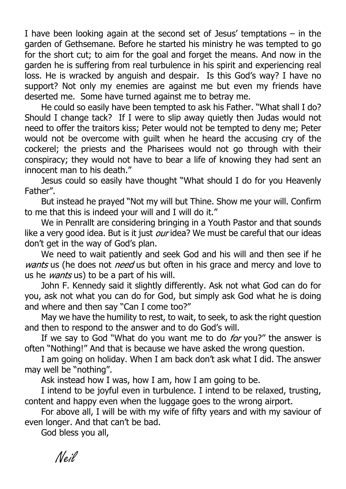I have been looking again at the second set of Jesus' temptations – in the garden of Gethsemane. Before he started his ministry he was tempted to go for the short cut; to aim for the goal and forget the means. And now in the garden he is suffering from real turbulence in his spirit and experiencing real loss. He is wracked by anguish and despair. Is this God's way? I have no support? Not only my enemies are against me but even my friends have deserted me. Some have turned against me to betray me.

He could so easily have been tempted to ask his Father. "What shall I do? Should I change tack? If I were to slip away quietly then Judas would not need to offer the traitors kiss; Peter would not be tempted to deny me; Peter would not be overcome with guilt when he heard the accusing cry of the cockerel; the priests and the Pharisees would not go through with their conspiracy; they would not have to bear a life of knowing they had sent an innocent man to his death."

Jesus could so easily have thought "What should I do for you Heavenly Father".

But instead he prayed "Not my will but Thine. Show me your will. Confirm to me that this is indeed your will and I will do it."

We in Penrallt are considering bringing in a Youth Pastor and that sounds like a very good idea. But is it just  $our$  idea? We must be careful that our ideas don't get in the way of God's plan.

We need to wait patiently and seek God and his will and then see if he wants us (he does not need us but often in his grace and mercy and love to us he *wants* us) to be a part of his will.

John F. Kennedy said it slightly differently. Ask not what God can do for you, ask not what you can do for God, but simply ask God what he is doing and where and then say "Can I come too?"

May we have the humility to rest, to wait, to seek, to ask the right question and then to respond to the answer and to do God's will.

If we say to God "What do you want me to do *for* you?" the answer is often "Nothing!" And that is because we have asked the wrong question.

I am going on holiday. When I am back don't ask what I did. The answer may well be "nothing".

Ask instead how I was, how I am, how I am going to be.

I intend to be joyful even in turbulence. I intend to be relaxed, trusting, content and happy even when the luggage goes to the wrong airport.

For above all, I will be with my wife of fifty years and with my saviour of even longer. And that can't be bad.

God bless you all,

Neil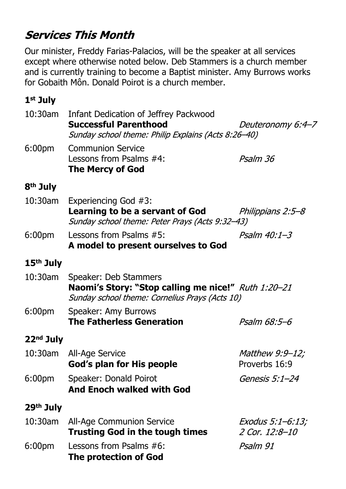# **Services This Month**

Our minister, Freddy Farias-Palacios, will be the speaker at all services except where otherwise noted below. Deb Stammers is a church member and is currently training to become a Baptist minister. Amy Burrows works for Gobaith Môn. Donald Poirot is a church member.

#### **1st July**

| 6:00 <sub>pm</sub><br><b>Communion Service</b><br>Lessons from Psalms #4:<br>Psalm 36<br><b>The Mercy of God</b>                              |  |
|-----------------------------------------------------------------------------------------------------------------------------------------------|--|
|                                                                                                                                               |  |
| 8 <sup>th</sup> July                                                                                                                          |  |
| $10:30$ am<br>Experiencing God #3:<br>Learning to be a servant of God<br>Philippians 2:5–8<br>Sunday school theme: Peter Prays (Acts 9:32-43) |  |
| Lessons from Psalms #5:<br>$P$ salm 40:1-3<br>6:00 <sub>pm</sub><br>A model to present ourselves to God                                       |  |
| 15 <sup>th</sup> July                                                                                                                         |  |
| 10:30am<br>Speaker: Deb Stammers<br>Naomi's Story: "Stop calling me nice!" Ruth 1:20-21<br>Sunday school theme: Cornelius Prays (Acts 10)     |  |
| 6:00 <sub>pm</sub><br>Speaker: Amy Burrows<br><b>The Fatherless Generation</b><br>Psalm 68:5-6                                                |  |
| 22 <sup>nd</sup> July                                                                                                                         |  |
| 10:30am All-Age Service<br><i>Matthew 9:9-12;</i><br>Proverbs 16:9<br>God's plan for His people                                               |  |
| 6:00 <sub>pm</sub><br>Speaker: Donald Poirot<br>Genesis 5:1–24<br><b>And Enoch walked with God</b>                                            |  |
| 29 <sup>th</sup> July                                                                                                                         |  |
| 10:30am<br><b>All-Age Communion Service</b><br>Exodus 5:1-6:13;<br><b>Trusting God in the tough times</b><br>2 Cor. 12:8-10                   |  |
| 6:00 <sub>pm</sub><br>Lessons from Psalms #6:<br>Psalm 91<br><b>The protection of God</b>                                                     |  |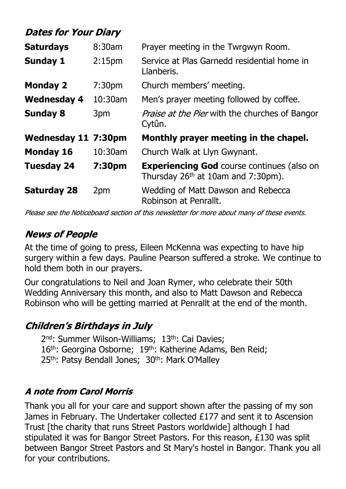# **Dates for Your Diary**

| <b>Saturdays</b>           | 8:30am             | Prayer meeting in the Twrgwyn Room.                                                       |  |  |
|----------------------------|--------------------|-------------------------------------------------------------------------------------------|--|--|
| <b>Sunday 1</b>            | 2:15 <sub>pm</sub> | Service at Plas Garnedd residential home in<br>Llanberis.                                 |  |  |
| <b>Monday 2</b>            | 7:30 <sub>pm</sub> | Church members' meeting.                                                                  |  |  |
| <b>Wednesday 4</b>         | 10:30am            | Men's prayer meeting followed by coffee.                                                  |  |  |
| <b>Sunday 8</b>            | 3pm                | <i>Praise at the Pier</i> with the churches of Bangor<br>Cytûn.                           |  |  |
| <b>Wednesday 11 7:30pm</b> |                    | Monthly prayer meeting in the chapel.                                                     |  |  |
| <b>Monday 16</b>           | 10:30am            | Church Walk at Llyn Gwynant.                                                              |  |  |
| <b>Tuesday 24</b>          | 7:30pm             | <b>Experiencing God</b> course continues (also on<br>Thursday $26th$ at 10am and 7:30pm). |  |  |
| <b>Saturday 28</b>         | 2pm                | Wedding of Matt Dawson and Rebecca<br>Robinson at Penrallt.                               |  |  |

Please see the Noticeboard section of this newsletter for more about many of these events.

# **News of People**

At the time of going to press, Eileen McKenna was expecting to have hip surgery within a few days. Pauline Pearson suffered a stroke. We continue to hold them both in our prayers.

Our congratulations to Neil and Joan Rymer, who celebrate their 50th Wedding Anniversary this month, and also to Matt Dawson and Rebecca Robinson who will be getting married at Penrallt at the end of the month.

### **Children's Birthdays in July**

2<sup>nd</sup>: Summer Wilson-Williams; 13<sup>th</sup>: Cai Davies; 16<sup>th</sup>: Georgina Osborne; 19<sup>th</sup>: Katherine Adams, Ben Reid; 25<sup>th</sup>: Patsy Bendall Jones; 30<sup>th</sup>: Mark O'Malley

#### **A note from Carol Morris**

Thank you all for your care and support shown after the passing of my son James in February. The Undertaker collected £177 and sent it to Ascension Trust [the charity that runs Street Pastors worldwide] although I had stipulated it was for Bangor Street Pastors. For this reason, £130 was split between Bangor Street Pastors and St Mary's hostel in Bangor. Thank you all for your contributions.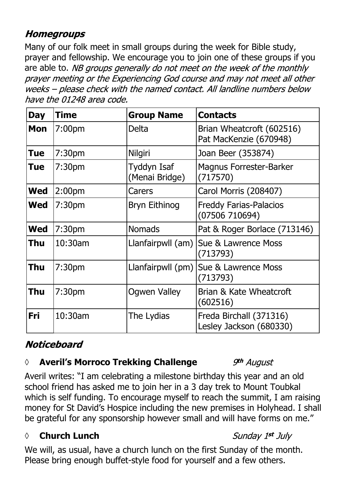### **Homegroups**

Many of our folk meet in small groups during the week for Bible study, prayer and fellowship. We encourage you to join one of these groups if you are able to. NB groups generally do not meet on the week of the monthly prayer meeting or the Experiencing God course and may not meet all other weeks - please check with the named contact. All landline numbers below have the 01248 area code.

| <b>Day</b> | <b>Time</b>        | <b>Group Name</b>             | <b>Contacts</b>                                     |
|------------|--------------------|-------------------------------|-----------------------------------------------------|
| <b>Mon</b> | 7:00 <sub>pm</sub> | <b>Delta</b>                  | Brian Wheatcroft (602516)<br>Pat MacKenzie (670948) |
| Tue        | 7:30 <sub>pm</sub> | <b>Nilgiri</b>                | Joan Beer (353874)                                  |
| <b>Tue</b> | 7:30 <sub>pm</sub> | Tyddyn Isaf<br>(Menai Bridge) | <b>Magnus Forrester-Barker</b><br>(717570)          |
| <b>Wed</b> | 2:00 <sub>pm</sub> | Carers                        | Carol Morris (208407)                               |
| <b>Wed</b> | 7:30 <sub>pm</sub> | <b>Bryn Eithinog</b>          | <b>Freddy Farias-Palacios</b><br>(07506710694)      |
| <b>Wed</b> | 7:30pm             | <b>Nomads</b>                 | Pat & Roger Borlace (713146)                        |
| Thu        | 10:30am            | Llanfairpwll (am)             | Sue & Lawrence Moss<br>(713793)                     |
| Thu        | 7:30 <sub>pm</sub> | Llanfairpwll (pm)             | Sue & Lawrence Moss<br>(713793)                     |
| Thu        | 7:30 <sub>pm</sub> | <b>Ogwen Valley</b>           | Brian & Kate Wheatcroft<br>(602516)                 |
| Fri        | 10:30am            | The Lydias                    | Freda Birchall (371316)<br>Lesley Jackson (680330)  |

# **Noticeboard**

#### *◊* **Averil's Morroco Trekking Challenge**

Averil writes: "I am celebrating a milestone birthday this year and an old school friend has asked me to join her in a 3 day trek to Mount Toubkal which is self funding. To encourage myself to reach the summit, I am raising money for St David's Hospice including the new premises in Holyhead. I shall be grateful for any sponsorship however small and will have forms on me."

#### **◊ Church Lunch**

We will, as usual, have a church lunch on the first Sunday of the month. Please bring enough buffet-style food for yourself and a few others.

# 9th August

# Sunday 1st July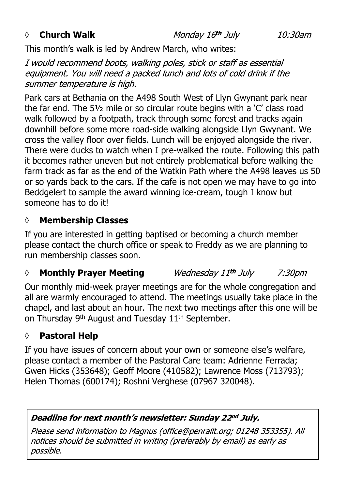#### *◊* **Church Walk**

Monday 16th July

10:30am

This month's walk is led by Andrew March, who writes:

I would recommend boots, walking poles, stick or staff as essential equipment. You will need a packed lunch and lots of cold drink if the summer temperature is high.

Park cars at Bethania on the A498 South West of Llyn Gwynant park near the far end. The 5½ mile or so circular route begins with a 'C' class road walk followed by a footpath, track through some forest and tracks again downhill before some more road-side walking alongside Llyn Gwynant. We cross the valley floor over fields. Lunch will be enjoyed alongside the river. There were ducks to watch when I pre-walked the route. Following this path it becomes rather uneven but not entirely problematical before walking the farm track as far as the end of the Watkin Path where the A498 leaves us 50 or so yards back to the cars. If the cafe is not open we may have to go into Beddgelert to sample the award winning ice-cream, tough I know but someone has to do it!

#### **◊ Membership Classes**

If you are interested in getting baptised or becoming a church member please contact the church office or speak to Freddy as we are planning to run membership classes soon.

#### *◊* **Monthly Prayer Meeting** Wednesday 11th July *7:30pm*

Our monthly mid-week prayer meetings are for the whole congregation and all are warmly encouraged to attend. The meetings usually take place in the chapel, and last about an hour. The next two meetings after this one will be on Thursday 9<sup>th</sup> August and Tuesday 11<sup>th</sup> September.

#### **◊ Pastoral Help**

If you have issues of concern about your own or someone else's welfare, please contact a member of the Pastoral Care team: Adrienne Ferrada; Gwen Hicks (353648); Geoff Moore (410582); Lawrence Moss (713793); Helen Thomas (600174); Roshni Verghese (07967 320048).

#### Deadline for next month's newsletter: Sunday 22nd July.

Please send information to Magnus (office@penrallt.org; 01248 353355). All notices should be submitted in writing (preferably by email) as early as possible.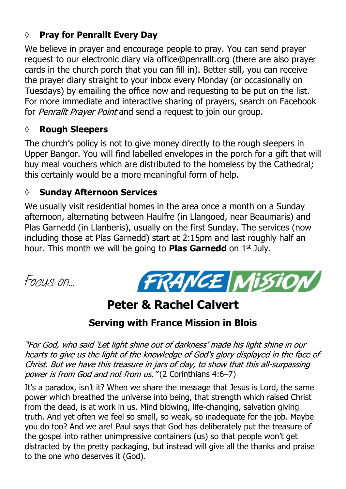#### **◊ Pray for Penrallt Every Day**

We believe in prayer and encourage people to pray. You can send prayer request to our electronic diary via office@penrallt.org (there are also prayer cards in the church porch that you can fill in). Better still, you can receive the prayer diary straight to your inbox every Monday (or occasionally on Tuesdays) by emailing the office now and requesting to be put on the list. For more immediate and interactive sharing of prayers, search on Facebook for Penrallt Prayer Point and send a request to join our group.

#### **◊ Rough Sleepers**

The church's policy is not to give money directly to the rough sleepers in Upper Bangor. You will find labelled envelopes in the porch for a gift that will buy meal vouchers which are distributed to the homeless by the Cathedral; this certainly would be a more meaningful form of help.

#### **◊ Sunday Afternoon Services**

We usually visit residential homes in the area once a month on a Sunday afternoon, alternating between Haulfre (in Llangoed, near Beaumaris) and Plas Garnedd (in Llanberis), usually on the first Sunday. The services (now including those at Plas Garnedd) start at 2:15pm and last roughly half an hour. This month we will be going to **Plas Garnedd** on 1st July.

*Focus on…*



# **Peter & Rachel Calvert**

# **Serving with France Mission in Blois**

"For God, who said 'Let light shine out of darkness' made his light shine in our hearts to give us the light of the knowledge of God's glory displayed in the face of Christ. But we have this treasure in jars of clay, to show that this all-surpassing power is from God and not from us."(2 Corinthians 4:6-7)

It's a paradox, isn't it? When we share the message that Jesus is Lord, the same power which breathed the universe into being, that strength which raised Christ from the dead, is at work in us. Mind blowing, life-changing, salvation giving truth. And yet often we feel so small, so weak, so inadequate for the job. Maybe you do too? And we are! Paul says that God has deliberately put the treasure of the gospel into rather unimpressive containers (us) so that people won't get distracted by the pretty packaging, but instead will give all the thanks and praise to the one who deserves it (God).